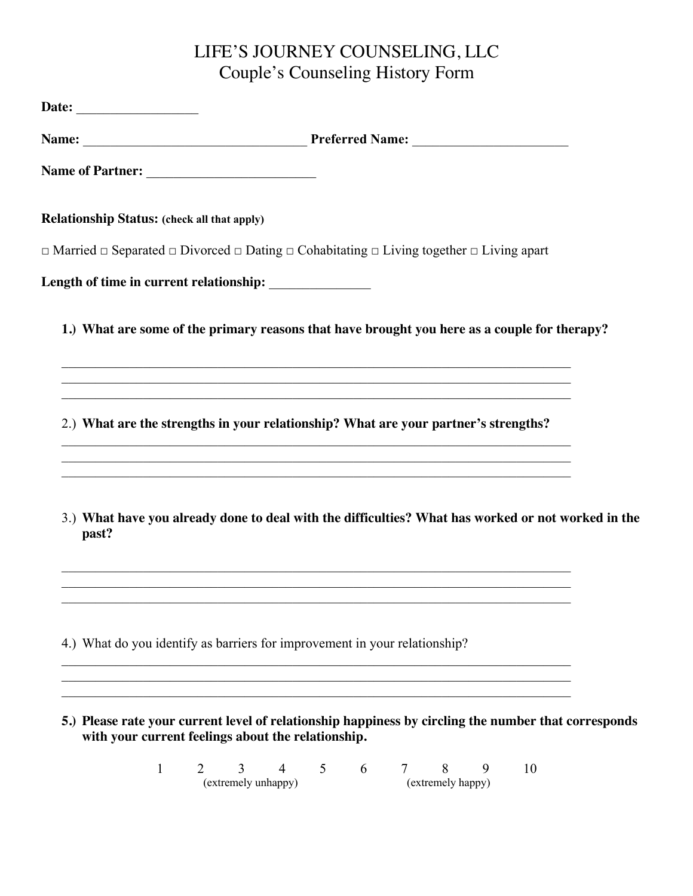## LIFE'S JOURNEY COUNSELING, LLC Couple's Counseling History Form

|       | Date: ___________________                                                                                                                                                                                                        |   |                          |                |   |   |   |                        |   |    |                                                                                                      |
|-------|----------------------------------------------------------------------------------------------------------------------------------------------------------------------------------------------------------------------------------|---|--------------------------|----------------|---|---|---|------------------------|---|----|------------------------------------------------------------------------------------------------------|
|       |                                                                                                                                                                                                                                  |   |                          |                |   |   |   |                        |   |    |                                                                                                      |
|       |                                                                                                                                                                                                                                  |   |                          |                |   |   |   |                        |   |    |                                                                                                      |
|       | <b>Relationship Status: (check all that apply)</b>                                                                                                                                                                               |   |                          |                |   |   |   |                        |   |    |                                                                                                      |
|       | $\Box$ Married $\Box$ Separated $\Box$ Divorced $\Box$ Dating $\Box$ Cohabitating $\Box$ Living together $\Box$ Living apart                                                                                                     |   |                          |                |   |   |   |                        |   |    |                                                                                                      |
|       | Length of time in current relationship: _______________                                                                                                                                                                          |   |                          |                |   |   |   |                        |   |    |                                                                                                      |
|       | 1.) What are some of the primary reasons that have brought you here as a couple for therapy?                                                                                                                                     |   |                          |                |   |   |   |                        |   |    |                                                                                                      |
|       | ,我们也不能在这里的时候,我们也不能在这里的时候,我们也不能会不能会不能会不能会不能会不能会不能会不能会。<br>第2012章 我们的时候,我们的时候,我们的时候,我们的时候,我们的时候,我们的时候,我们的时候,我们的时候,我们的时候,我们的时候,我们的时候,我们的时候,我<br>2.) What are the strengths in your relationship? What are your partner's strengths? |   |                          |                |   |   |   |                        |   |    |                                                                                                      |
| past? |                                                                                                                                                                                                                                  |   |                          |                |   |   |   |                        |   |    | 3.) What have you already done to deal with the difficulties? What has worked or not worked in the   |
|       | 4.) What do you identify as barriers for improvement in your relationship?                                                                                                                                                       |   |                          |                |   |   |   |                        |   |    |                                                                                                      |
|       | with your current feelings about the relationship.                                                                                                                                                                               |   |                          |                |   |   |   |                        |   |    | 5.) Please rate your current level of relationship happiness by circling the number that corresponds |
|       | $\mathbf{1}$                                                                                                                                                                                                                     | 2 | 3<br>(extremely unhappy) | $\overline{4}$ | 5 | 6 | 7 | 8<br>(extremely happy) | 9 | 10 |                                                                                                      |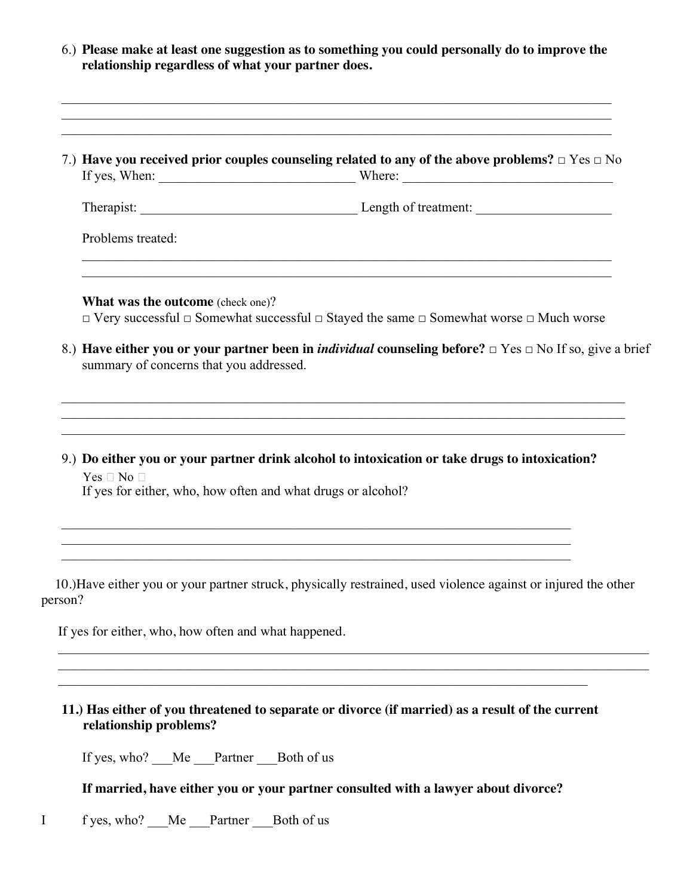|                                                                                    | 7.) Have you received prior couples counseling related to any of the above problems? $\Box$ Yes $\Box$ No                                                                                                                                     |
|------------------------------------------------------------------------------------|-----------------------------------------------------------------------------------------------------------------------------------------------------------------------------------------------------------------------------------------------|
|                                                                                    |                                                                                                                                                                                                                                               |
| Problems treated:                                                                  |                                                                                                                                                                                                                                               |
| <b>What was the outcome</b> (check one)?                                           |                                                                                                                                                                                                                                               |
| summary of concerns that you addressed.                                            | $\Box$ Very successful $\Box$ Somewhat successful $\Box$ Stayed the same $\Box$ Somewhat worse $\Box$ Much worse<br>8.) Have either you or your partner been in <i>individual</i> counseling before? $\Box$ Yes $\Box$ No If so, give a brief |
| $Yes \Box No \Box$<br>If yes for either, who, how often and what drugs or alcohol? | 9.) Do either you or your partner drink alcohol to intoxication or take drugs to intoxication?                                                                                                                                                |

**11.) Has either of you threatened to separate or divorce (if married) as a result of the current relationship problems?** 

If yes, who? \_\_\_Me \_\_\_Partner \_\_\_Both of us

**If married, have either you or your partner consulted with a lawyer about divorce?** 

I f yes, who? \_\_\_Me \_\_\_Partner \_\_\_Both of us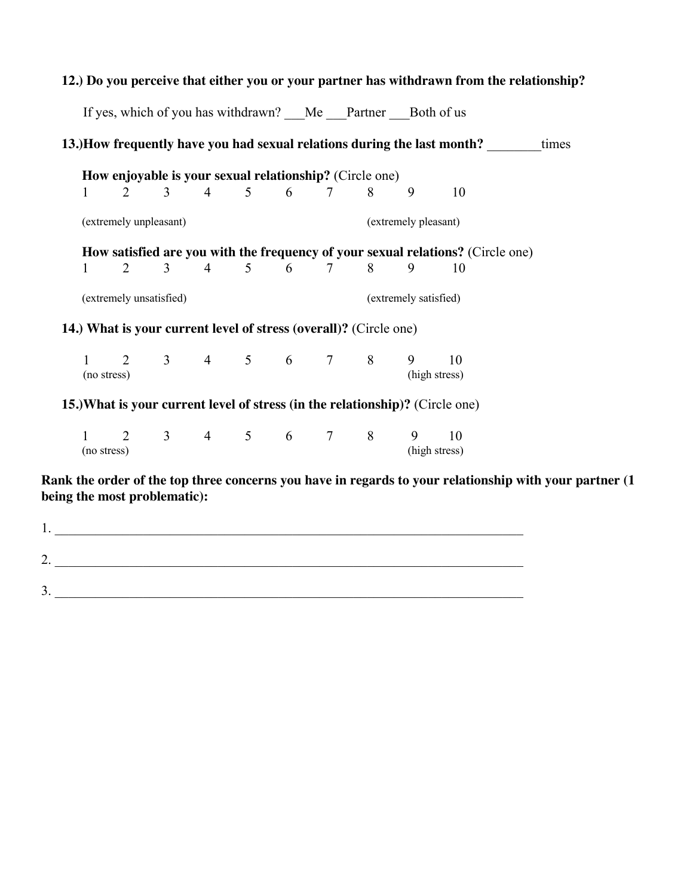|                                                         |                                                                                 |                        |                |  |  |                                                                   |  |                      | 12.) Do you perceive that either you or your partner has withdrawn from the relationship? |  |
|---------------------------------------------------------|---------------------------------------------------------------------------------|------------------------|----------------|--|--|-------------------------------------------------------------------|--|----------------------|-------------------------------------------------------------------------------------------|--|
|                                                         |                                                                                 |                        |                |  |  | If yes, which of you has withdrawn? Me Partner Both of us         |  |                      |                                                                                           |  |
|                                                         |                                                                                 |                        |                |  |  |                                                                   |  |                      | 13.)How frequently have you had sexual relations during the last month? times             |  |
| How enjoyable is your sexual relationship? (Circle one) |                                                                                 |                        |                |  |  |                                                                   |  |                      |                                                                                           |  |
|                                                         | $\mathbf{1}$                                                                    |                        |                |  |  | 2 3 4 5 6 7 8                                                     |  | 9                    | 10                                                                                        |  |
|                                                         |                                                                                 | (extremely unpleasant) |                |  |  |                                                                   |  | (extremely pleasant) |                                                                                           |  |
|                                                         | How satisfied are you with the frequency of your sexual relations? (Circle one) |                        |                |  |  |                                                                   |  |                      |                                                                                           |  |
|                                                         | $\mathbf{1}$                                                                    | $\overline{2}$         | 3 <sup>1</sup> |  |  | 4 5 6 7 8                                                         |  | 9                    | 10                                                                                        |  |
| (extremely unsatisfied)<br>(extremely satisfied)        |                                                                                 |                        |                |  |  |                                                                   |  |                      |                                                                                           |  |
|                                                         |                                                                                 |                        |                |  |  | 14.) What is your current level of stress (overall)? (Circle one) |  |                      |                                                                                           |  |
|                                                         |                                                                                 | (no stress)            |                |  |  | $1 \t2 \t3 \t4 \t5 \t6 \t7 \t8 \t9 \t10$                          |  |                      | (high stress)                                                                             |  |
|                                                         |                                                                                 |                        |                |  |  |                                                                   |  |                      | 15.) What is your current level of stress (in the relationship)? (Circle one)             |  |
|                                                         | (no stress)                                                                     |                        |                |  |  | $1 \t2 \t3 \t4 \t5 \t6 \t7 \t8 \t9 \t10$                          |  |                      | (high stress)                                                                             |  |

**Rank the order of the top three concerns you have in regards to your relationship with your partner (1 being the most problematic):** 

| . .           |  |
|---------------|--|
| ⌒<br><u>.</u> |  |
|               |  |
| ◠<br>، ب      |  |

## **12.) Do you perceive that either you or your partner has withdrawn from the relationship?**